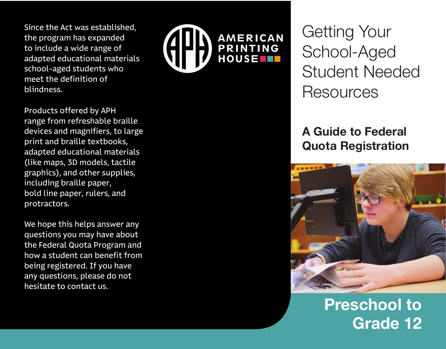Since the Act was established, the program has expanded to include a wide range of adapted educational materials school-aged students who meet the definition of blindness.



We hope this helps answer any questions you may have about the Federal Quota Program and how a student can benefit from being registered. If you have any questions, please do not hesitate to contact us.



Getting Your School-Aged Student Needed **Resources** 

## **A Guide to Federal Quota Registration**



# **Preschool to Grade 12**